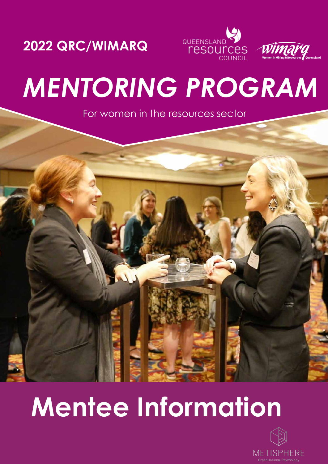**2022 QRC/WIMARQ**





# *MENTORING PROGRAM*

For women in the resources sector



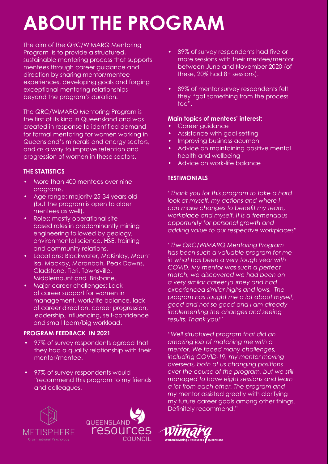## **ABOUT THE PROGRAM**

The aim of the QRC/WIMARQ Mentoring Program is to provide a structured, sustainable mentoring process that supports mentees through career guidance and direction by sharing mentor/mentee experiences, developing goals and forging exceptional mentoring relationships beyond the program's duration.

The QRC/WIMARQ Mentoring Program is the first of its kind in Queensland and was created in response to identified demand for formal mentoring for women working in Queensland's minerals and energy sectors, and as a way to improve retention and progression of women in these sectors.

### **THE STATISTICS**

- More than 400 mentees over nine programs.
- Age range: majority 25-34 years old (but the program is open to older mentees as well).
- Roles: mostly operational sitebased roles in predominantly mining engineering followed by geology, environmental science, HSE, training and community relations.
- Locations: Blackwater, McKinlay, Mount Isa, Mackay, Moranbah, Peak Downs, Gladstone, Tieri, Townsville, Middlemount and Brisbane.
- Major career challenges: Lack of career support for women in management, work/life balance, lack of career direction, career progression, leadership, influencing, self-confidence and small team/big workload.

### **PROGRAM FEEDBACK IN 2021**

- 97% of survey respondents agreed that they had a quality relationship with their mentor/mentee.
- 97% of survey respondents would "recommend this program to my friends and colleagues.





- 89% of survey respondents had five or more sessions with their mentee/mentor between June and November 2020 (of these, 20% had 8+ sessions).
- 89% of mentor survey respondents felt they "got something from the process too".

### **Main topics of mentees' interest:**

- Career quidance
- Assistance with goal-setting
- Improving business acumen
- Advice on maintaining positive mental health and wellbeing
- Advice on work-life balance

### **TESTIMONIALS**

*"Thank you for this program to take a hard look at myself, my actions and where I can make changes to benefit my team, workplace and myself. It is a tremendous opportunity for personal growth and adding value to our respective workplaces"*

*"The QRC/WIMARQ Mentoring Program has been such a valuable program for me in what has been a very tough year with COVID. My mentor was such a perfect match, we discovered we had been on a very similar career journey and had experienced similar highs and lows. The program has taught me a lot about myself, good and not so good and I am already implementing the changes and seeing results. Thank you!"*

*"Well structured program that did an amazing job of matching me with a mentor. We faced many challenges, including COVID-19, my mentor moving overseas, both of us changing positions over the course of the program, but we still managed to have eight sessions and learn a lot from each other. The program and my* mentor assisted greatly with clarifying my future career goals among other things. Definitely recommend."

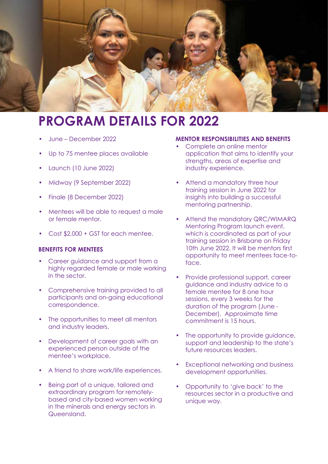

### **PROGRAM DETAILS FOR 2022**

- June December 2022
- Up to 75 mentee places available
- Launch (10 June 2022)
- Midway (9 September 2022)
- Finale (8 December 2022)
- Mentees will be able to request a male or female mentor.
- Cost \$2,000 + GST for each mentee.

#### **BENEFITS FOR MENTEES**

- Career avidance and support from a highly regarded female or male working in the sector.
- Comprehensive training provided to all participants and on-going educational correspondence.
- The opportunities to meet all mentors and industry leaders.
- Development of career goals with an experienced person outside of the mentee's workplace.
- A friend to share work/life experiences.
- Being part of a unique, tailored and extraordinary program for remotelybased and city-based women working in the minerals and energy sectors in Queensland.

#### **MENTOR RESPONSIBILITIES AND BENEFITS**

- Complete an online mentor application that aims to identify your strengths, areas of expertise and industry experience.
- Attend a mandatory three hour training session in June 2022 for insights into building a successful mentoring partnership.
- Attend the mandatory QRC/WIMARQ Mentoring Program launch event, which is coordinated as part of your training session in Brisbane on Friday 10th June 2022. It will be mentors first opportunity to meet mentees face-toface.
- Provide professional support, career guidance and industry advice to a female mentee for 8 one hour sessions, every 3 weeks for the duration of the program (June - December). Approximate time commitment is 15 hours.
- The opportunity to provide quidance, support and leadership to the state's future resources leaders.
- **Exceptional networking and business** development opportunities.
- Opportunity to 'give back' to the resources sector in a productive and unique way.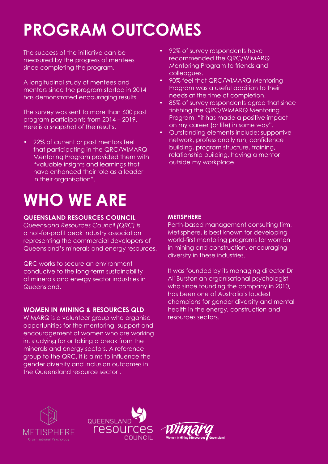### **PROGRAM OUTCOMES**

The success of the initiative can be measured by the progress of mentees since completing the program.

A longitudinal study of mentees and mentors since the program started in 2014 has demonstrated encouraging results.

The survey was sent to more than 600 past program participants from 2014 – 2019. Here is a snapshot of the results.

• 92% of current or past mentors feel that participating in the QRC/WIMARQ Mentoring Program provided them with "valuable insights and learnings that have enhanced their role as a leader in their organisation".

### **WHO WE ARE**

### **QUEENSLAND RESOURCES COUNCIL**

*Queensland Resources Council (QRC) is*  a not-for-profit peak industry association representing the commercial developers of Queensland's minerals and energy resources.

QRC works to secure an environment conducive to the long-term sustainability of minerals and energy sector industries in Queensland.

### **WOMEN IN MINING & RESOURCES QLD**

WIMARQ is a volunteer group who organise opportunities for the mentoring, support and encouragement of women who are working in, studying for or taking a break from the minerals and energy sectors. A reference group to the QRC, it is aims to influence the gender diversity and inclusion outcomes in the Queensland resource sector .

- 92% of survey respondents have recommended the QRC/WIMARQ Mentoring Program to friends and colleagues.
- 90% feel that QRC/WIMARQ Mentoring Program was a useful addition to their needs at the time of completion.
- 85% of survey respondents agree that since finishing the QRC/WIMARQ Mentoring Program, "it has made a positive impact on my career (or life) in some way".
- Outstanding elements include: supportive network, professionally run, confidence building, program structure, training, relationship building, having a mentor outside my workplace.

### **METISPHERE**

Perth-based management consulting firm, Metisphere, is best known for developing world-first mentoring programs for women in mining and construction, encouraging diversity in these industries.

It was founded by its managing director Dr Ali Burston an organisational psychologist who since founding the company in 2010, has been one of Australia's loudest champions for gender diversity and mental health in the energy, construction and resources sectors.